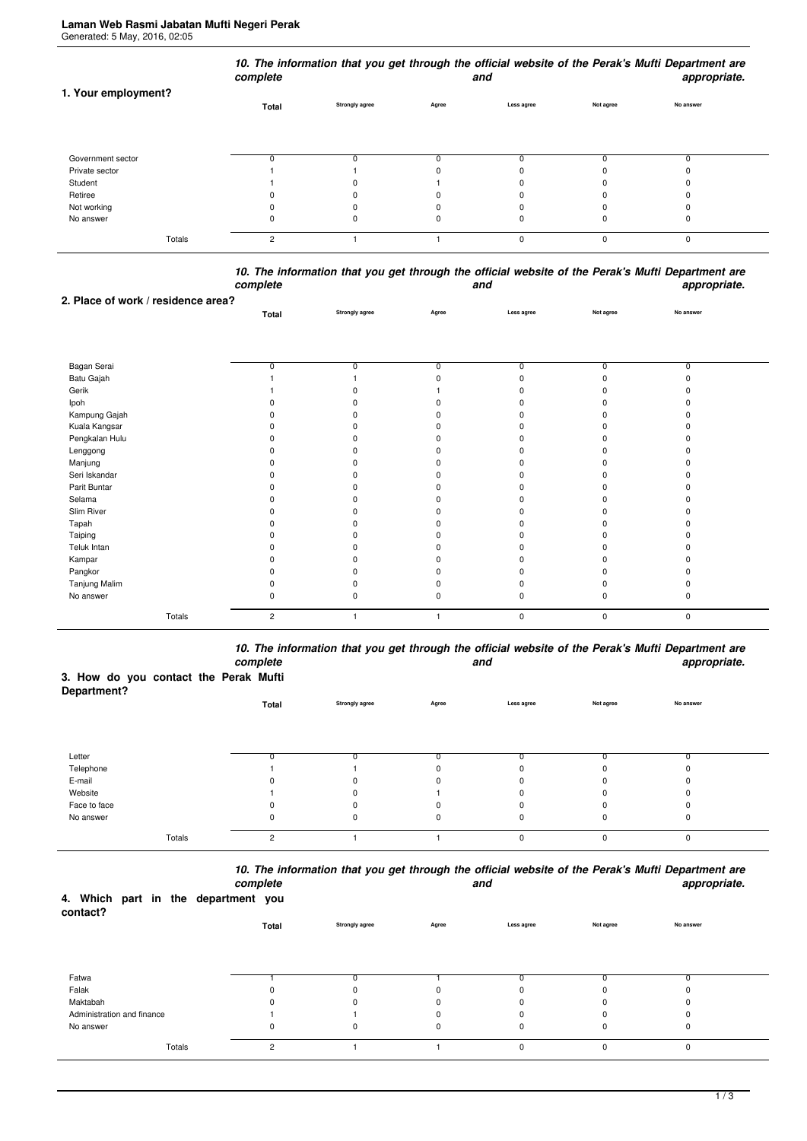| 1. Your employment? | complete       |                       |       | and        |           | 10. The information that you get through the official website of the Perak's Mufti Department are<br>appropriate. |
|---------------------|----------------|-----------------------|-------|------------|-----------|-------------------------------------------------------------------------------------------------------------------|
|                     | Total          | <b>Strongly agree</b> | Agree | Less agree | Not agree | No answer                                                                                                         |
| Government sector   |                |                       |       |            |           |                                                                                                                   |
| Private sector      |                |                       |       |            |           |                                                                                                                   |
| Student             |                |                       |       |            |           |                                                                                                                   |
| Retiree             |                |                       |       |            |           |                                                                                                                   |
| Not working         |                |                       |       |            |           |                                                                                                                   |
| No answer           |                |                       |       | O          | 0         | 0                                                                                                                 |
| Totals              | $\overline{c}$ |                       |       | $\Omega$   | 0         | 0                                                                                                                 |

|          | 10. The information that you get through the official website of the Perak's Mufti Department are |              |
|----------|---------------------------------------------------------------------------------------------------|--------------|
| complete | and                                                                                               | appropriate. |
|          |                                                                                                   |              |

|                                    | -----p----<br>Strongly agree<br>Total<br>Agree<br>0<br>0<br>0<br>O<br>ŋ<br>n<br>ŋ<br>ŋ<br>ŋ<br>ŋ<br>ŋ |    | $r_{\rm F}$ , $r_{\rm F}$ , and $r_{\rm F}$ |             |           |           |  |
|------------------------------------|-------------------------------------------------------------------------------------------------------|----|---------------------------------------------|-------------|-----------|-----------|--|
| 2. Place of work / residence area? |                                                                                                       |    |                                             |             |           |           |  |
|                                    |                                                                                                       |    |                                             | Less agree  | Not agree | No answer |  |
|                                    |                                                                                                       |    |                                             |             |           |           |  |
|                                    |                                                                                                       |    |                                             |             |           |           |  |
|                                    |                                                                                                       |    |                                             |             |           |           |  |
| Bagan Serai                        |                                                                                                       |    |                                             | $\Omega$    | 0         | 0         |  |
| Batu Gajah                         |                                                                                                       |    |                                             |             | U         |           |  |
| Gerik                              |                                                                                                       |    |                                             |             |           |           |  |
| Ipoh                               |                                                                                                       |    |                                             |             |           |           |  |
| Kampung Gajah                      |                                                                                                       |    |                                             |             |           |           |  |
| Kuala Kangsar                      |                                                                                                       |    |                                             |             |           |           |  |
| Pengkalan Hulu                     |                                                                                                       |    |                                             |             |           |           |  |
| Lenggong                           |                                                                                                       |    |                                             |             |           |           |  |
| Manjung                            |                                                                                                       |    |                                             |             |           |           |  |
| Seri Iskandar                      |                                                                                                       |    |                                             |             |           |           |  |
| Parit Buntar                       |                                                                                                       | n  |                                             |             |           |           |  |
| Selama                             |                                                                                                       | n  |                                             |             |           |           |  |
| Slim River                         |                                                                                                       |    |                                             |             |           |           |  |
| Tapah                              |                                                                                                       |    |                                             |             |           |           |  |
| Taiping                            |                                                                                                       | O. |                                             |             |           |           |  |
| Teluk Intan                        |                                                                                                       |    |                                             |             |           |           |  |
| Kampar                             |                                                                                                       | 0  |                                             |             |           |           |  |
| Pangkor                            |                                                                                                       | ŋ  |                                             |             |           |           |  |
| Tanjung Malim                      |                                                                                                       | ŋ  |                                             |             |           |           |  |
| No answer                          |                                                                                                       | 0  | ŋ                                           |             | $\Omega$  |           |  |
| Totals                             | $\overline{c}$                                                                                        |    |                                             | $\mathbf 0$ | 0         | $\pmb{0}$ |  |

*10. The information that you get through the official website of the Perak's Mufti Department are complete and appropriate.*

## **3. How do you contact the Perak Mufti**

| Department?  |                |                       |          |            |           |           |  |
|--------------|----------------|-----------------------|----------|------------|-----------|-----------|--|
|              | Total          | <b>Strongly agree</b> | Agree    | Less agree | Not agree | No answer |  |
|              |                |                       |          |            |           |           |  |
|              |                |                       |          |            |           |           |  |
|              |                |                       |          |            |           |           |  |
| Letter       |                |                       |          | ŋ          |           |           |  |
| Telephone    |                |                       |          | 0          | 0         |           |  |
| E-mail       |                | U                     | $\Omega$ | 0          | $\Omega$  | 0         |  |
| Website      |                | 0                     |          | 0          | 0         | $\Omega$  |  |
| Face to face |                |                       |          | 0          | 0         |           |  |
| No answer    | 0              | 0                     | 0        | 0          | 0         | 0         |  |
| Totals       | $\mathfrak{p}$ |                       |          | 0          | $\Omega$  | 0         |  |

*10. The information that you get through the official website of the Perak's Mufti Department are*

| 4. Which part in the department you<br>contact? |        | complete |          |                |             | and         |           | appropriate. |
|-------------------------------------------------|--------|----------|----------|----------------|-------------|-------------|-----------|--------------|
|                                                 |        |          | Total    | Strongly agree | Agree       | Less agree  | Not agree | No answer    |
|                                                 |        |          |          |                |             |             |           |              |
| Fatwa                                           |        |          |          |                |             |             |           |              |
| Falak                                           |        |          |          | 0              | 0           |             |           |              |
| Maktabah                                        |        |          | n        | U              | $\Omega$    |             |           | $\Omega$     |
| Administration and finance                      |        |          |          |                |             |             |           | 0            |
| No answer                                       |        |          | $\Omega$ | $\Omega$       | $\mathbf 0$ | $\mathbf 0$ | O         | 0            |
|                                                 | Totals |          | 2        |                |             | $\Omega$    | O         | $\mathbf 0$  |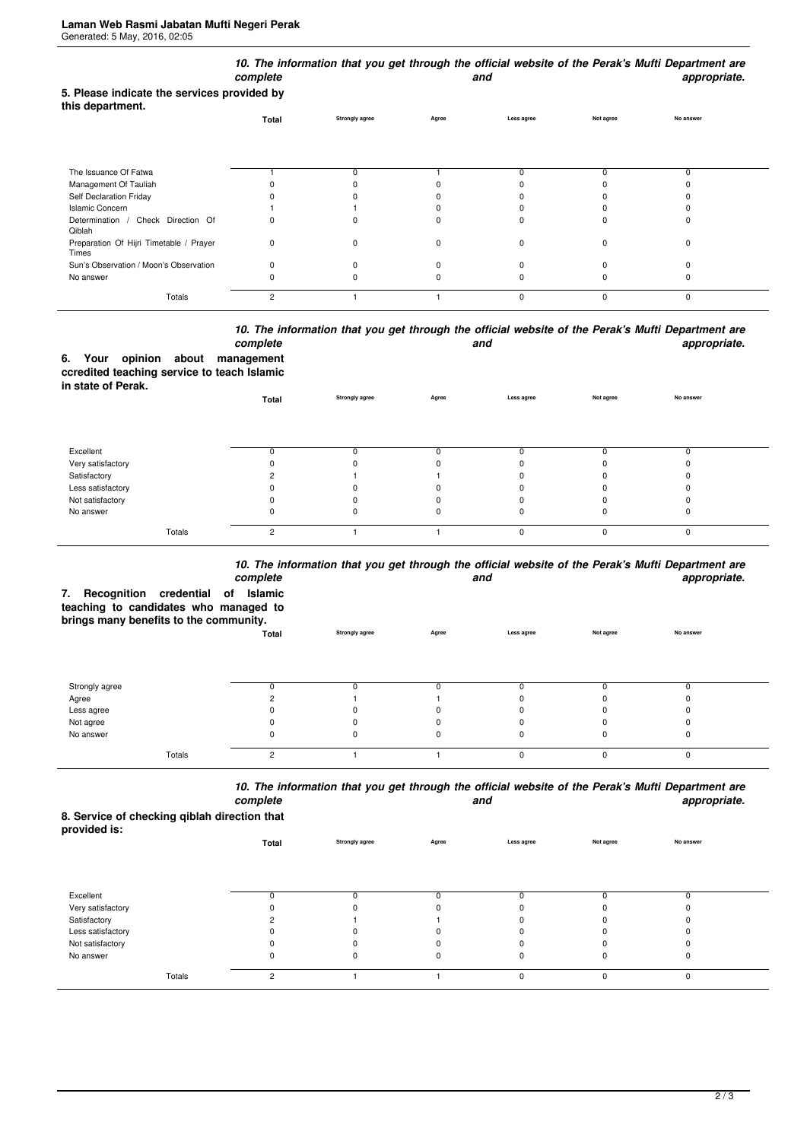|                                                                 | complete |                       |       | and         |             | 10. The information that you get through the official website of the Perak's Mufti Department are<br>appropriate. |
|-----------------------------------------------------------------|----------|-----------------------|-------|-------------|-------------|-------------------------------------------------------------------------------------------------------------------|
| 5. Please indicate the services provided by<br>this department. |          |                       |       |             |             |                                                                                                                   |
|                                                                 | Total    | <b>Strongly agree</b> | Agree | Less agree  | Not agree   | No answer                                                                                                         |
|                                                                 |          |                       |       |             |             |                                                                                                                   |
| The Issuance Of Fatwa                                           |          |                       |       |             |             | 0                                                                                                                 |
| Management Of Tauliah                                           |          |                       |       |             |             |                                                                                                                   |
| Self Declaration Friday                                         |          |                       |       |             |             |                                                                                                                   |
| <b>Islamic Concern</b>                                          |          |                       |       |             |             |                                                                                                                   |
| Determination / Check Direction Of<br>Qiblah                    | 0        |                       |       |             |             |                                                                                                                   |
| Preparation Of Hijri Timetable / Prayer<br>Times                | 0        | $\Omega$              |       | 0           | $\Omega$    | ŋ                                                                                                                 |
| Sun's Observation / Moon's Observation                          | 0        |                       |       |             |             |                                                                                                                   |
| No answer                                                       | 0        |                       |       |             |             |                                                                                                                   |
| Totals                                                          | 2        |                       |       | $\mathbf 0$ | $\mathbf 0$ | 0                                                                                                                 |

## *10. The information that you get through the official website of the Perak's Mufti Department are* **and** and **appropriate.**

|                    |  | complete                                    |
|--------------------|--|---------------------------------------------|
|                    |  | 6. Your opinion about management            |
|                    |  | ccredited teaching service to teach Islamic |
| in state of Perak. |  |                                             |

|                   | Total  | <b>Strongly agree</b> | Agree | Less agree | Not agree | No answer |  |
|-------------------|--------|-----------------------|-------|------------|-----------|-----------|--|
|                   |        |                       |       |            |           |           |  |
| Excellent         |        |                       |       |            |           | 0         |  |
| Very satisfactory |        |                       |       |            | ŋ         | 0         |  |
| Satisfactory      |        |                       |       |            |           | 0         |  |
| Less satisfactory |        |                       |       |            |           | 0         |  |
| Not satisfactory  |        |                       |       |            |           | 0         |  |
| No answer         |        |                       | 0     |            | 0         | 0         |  |
| Totals            | $\sim$ |                       |       | $\Omega$   | $\Omega$  | 0         |  |

## *10. The information that you get through the official website of the Perak's Mufti Department are*

| 7.             | complete<br>and<br>Recognition credential of<br>Islamic<br>teaching to candidates who managed to<br>brings many benefits to the community. |                       |       |            |           |           |  |
|----------------|--------------------------------------------------------------------------------------------------------------------------------------------|-----------------------|-------|------------|-----------|-----------|--|
|                | Total                                                                                                                                      | <b>Strongly agree</b> | Agree | Less agree | Not agree | No answer |  |
| Strongly agree |                                                                                                                                            |                       |       | n          |           |           |  |
| Agree          |                                                                                                                                            |                       |       |            |           |           |  |
| Less agree     |                                                                                                                                            |                       |       |            |           |           |  |
| Not agree      |                                                                                                                                            |                       |       | n          |           |           |  |
| No answer      |                                                                                                                                            |                       |       | 0          |           |           |  |
| Totals         | $\overline{2}$                                                                                                                             |                       |       | 0          | O         | $\Omega$  |  |

*10. The information that you get through the official website of the Perak's Mufti Department are* **and** and **appropriate.** 

**8. Service of checking qiblah direction that provided is:**

| provided is.      | Total          | Strongly agree | Agree | Less agree  | Not agree | No answer |  |
|-------------------|----------------|----------------|-------|-------------|-----------|-----------|--|
|                   |                |                |       |             |           |           |  |
| Excellent         | <sup>0</sup>   |                |       |             |           |           |  |
| Very satisfactory |                |                |       | 0           |           |           |  |
| Satisfactory      |                |                |       | $\Omega$    |           |           |  |
| Less satisfactory | 0              |                |       | 0           |           |           |  |
| Not satisfactory  |                |                |       |             |           |           |  |
| No answer         | 0              | 0              |       | 0           | 0         | U         |  |
| Totals            | $\overline{2}$ |                |       | $\mathbf 0$ | $\Omega$  | $\Omega$  |  |